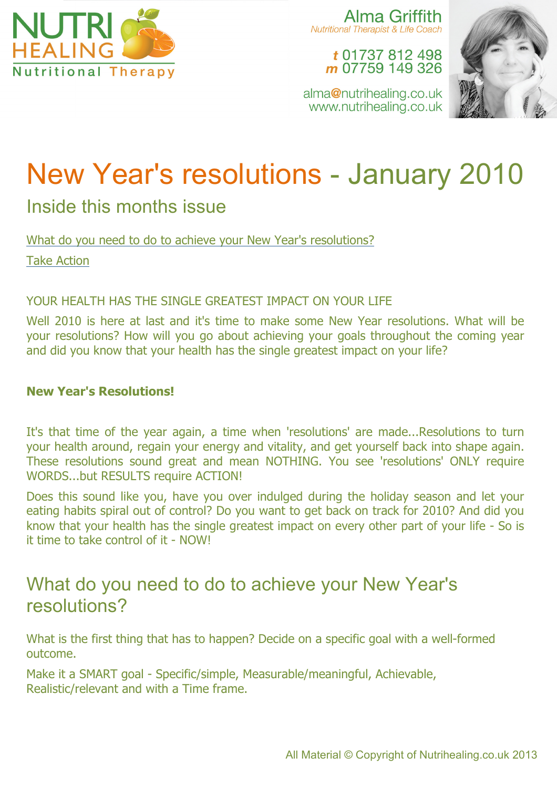

Alma Griffith Nutritional Therapist & Life Coach

t 01737 812 498 m 07759 149 326

alma@nutrihealing.co.uk www.nutrihealing.co.uk



# New Year's resolutions - January 2010

### Inside this months issue

What do you need to do to achieve your New Year's resolutions? Take Action

#### YOUR HEALTH HAS THE SINGLE GREATEST IMPACT ON YOUR LIFE

Well 2010 is here at last and it's time to make some New Year resolutions. What will be your resolutions? How will you go about achieving your goals throughout the coming year and did you know that your health has the single greatest impact on your life?

#### **New Year's Resolutions!**

It's that time of the year again, a time when 'resolutions' are made...Resolutions to turn your health around, regain your energy and vitality, and get yourself back into shape again. These resolutions sound great and mean NOTHING. You see 'resolutions' ONLY require WORDS...but RESULTS require ACTION!

Does this sound like you, have you over indulged during the holiday season and let your eating habits spiral out of control? Do you want to get back on track for 2010? And did you know that your health has the single greatest impact on every other part of your life - So is it time to take control of it - NOW!

## What do you need to do to achieve your New Year's resolutions?

What is the first thing that has to happen? Decide on a specific goal with a well-formed outcome.

Make it a SMART goal - Specific/simple, Measurable/meaningful, Achievable, Realistic/relevant and with a Time frame.